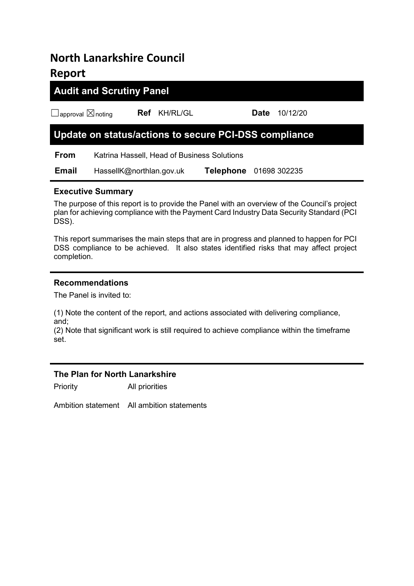# North Lanarkshire Council Report

# Audit and Scrutiny Panel

☐approval ☒noting Ref KH/RL/GL Date 10/12/20

# Update on status/actions to secure PCI-DSS compliance

From Katrina Hassell, Head of Business Solutions

Email HassellK@northlan.gov.uk Telephone 01698 302235

## Executive Summary

The purpose of this report is to provide the Panel with an overview of the Council's project plan for achieving compliance with the Payment Card Industry Data Security Standard (PCI DSS).

This report summarises the main steps that are in progress and planned to happen for PCI DSS compliance to be achieved. It also states identified risks that may affect project completion.

### Recommendations

The Panel is invited to:

(1) Note the content of the report, and actions associated with delivering compliance, and;

(2) Note that significant work is still required to achieve compliance within the timeframe set.

### The Plan for North Lanarkshire

Priority All priorities

Ambition statement All ambition statements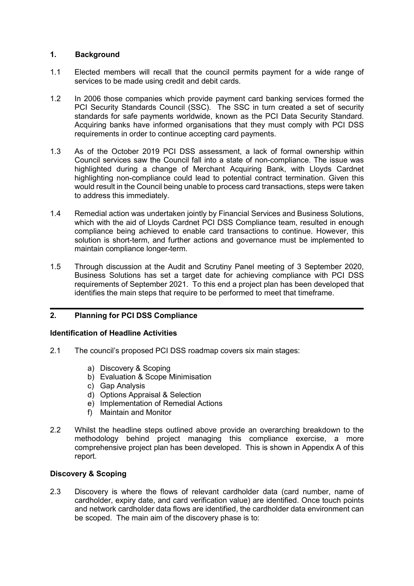#### 1. Background

- 1.1 Elected members will recall that the council permits payment for a wide range of services to be made using credit and debit cards.
- 1.2 In 2006 those companies which provide payment card banking services formed the PCI Security Standards Council (SSC). The SSC in turn created a set of security standards for safe payments worldwide, known as the PCI Data Security Standard. Acquiring banks have informed organisations that they must comply with PCI DSS requirements in order to continue accepting card payments.
- 1.3 As of the October 2019 PCI DSS assessment, a lack of formal ownership within Council services saw the Council fall into a state of non-compliance. The issue was highlighted during a change of Merchant Acquiring Bank, with Lloyds Cardnet highlighting non-compliance could lead to potential contract termination. Given this would result in the Council being unable to process card transactions, steps were taken to address this immediately.
- 1.4 Remedial action was undertaken jointly by Financial Services and Business Solutions, which with the aid of Lloyds Cardnet PCI DSS Compliance team, resulted in enough compliance being achieved to enable card transactions to continue. However, this solution is short-term, and further actions and governance must be implemented to maintain compliance longer-term.
- 1.5 Through discussion at the Audit and Scrutiny Panel meeting of 3 September 2020, Business Solutions has set a target date for achieving compliance with PCI DSS requirements of September 2021. To this end a project plan has been developed that identifies the main steps that require to be performed to meet that timeframe.

### 2. Planning for PCI DSS Compliance

#### Identification of Headline Activities

- 2.1 The council's proposed PCI DSS roadmap covers six main stages:
	- a) Discovery & Scoping
	- b) Evaluation & Scope Minimisation
	- c) Gap Analysis
	- d) Options Appraisal & Selection
	- e) Implementation of Remedial Actions
	- f) Maintain and Monitor
- 2.2 Whilst the headline steps outlined above provide an overarching breakdown to the methodology behind project managing this compliance exercise, a more comprehensive project plan has been developed. This is shown in Appendix A of this report.

#### Discovery & Scoping

2.3 Discovery is where the flows of relevant cardholder data (card number, name of cardholder, expiry date, and card verification value) are identified. Once touch points and network cardholder data flows are identified, the cardholder data environment can be scoped. The main aim of the discovery phase is to: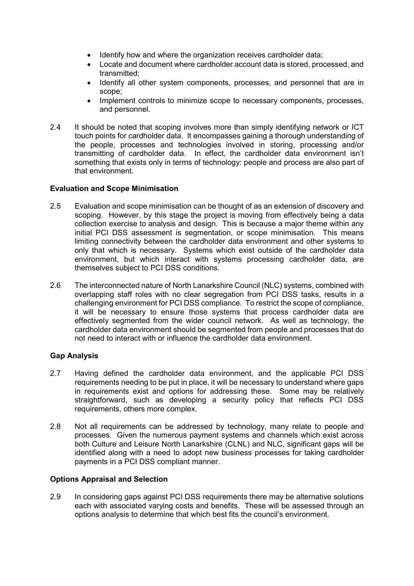- Identify how and where the organization receives cardholder data;
- Locate and document where cardholder account data is stored, processed, and transmitted;
- Identify all other system components, processes, and personnel that are in scope;
- Implement controls to minimize scope to necessary components, processes, and personnel.
- 2.4 It should be noted that scoping involves more than simply identifying network or ICT touch points for cardholder data. It encompasses gaining a thorough understanding of the people, processes and technologies involved in storing, processing and/or transmitting of cardholder data. In effect, the cardholder data environment isn't something that exists only in terms of technology: people and process are also part of that environment.

#### Evaluation and Scope Minimisation

- 2.5 Evaluation and scope minimisation can be thought of as an extension of discovery and scoping. However, by this stage the project is moving from effectively being a data collection exercise to analysis and design. This is because a major theme within any initial PCI DSS assessment is segmentation, or scope minimisation. This means limiting connectivity between the cardholder data environment and other systems to only that which is necessary. Systems which exist outside of the cardholder data environment, but which interact with systems processing cardholder data, are themselves subject to PCI DSS conditions.
- 2.6 The interconnected nature of North Lanarkshire Council (NLC) systems, combined with overlapping staff roles with no clear segregation from PCI DSS tasks, results in a challenging environment for PCI DSS compliance. To restrict the scope of compliance, it will be necessary to ensure those systems that process cardholder data are effectively segmented from the wider council network. As well as technology, the cardholder data environment should be segmented from people and processes that do not need to interact with or influence the cardholder data environment.

#### Gap Analysis

- 2.7 Having defined the cardholder data environment, and the applicable PCI DSS requirements needing to be put in place, it will be necessary to understand where gaps in requirements exist and options for addressing these. Some may be relatively straightforward, such as developing a security policy that reflects PCI DSS requirements, others more complex.
- 2.8 Not all requirements can be addressed by technology, many relate to people and processes. Given the numerous payment systems and channels which exist across both Culture and Leisure North Lanarkshire (CLNL) and NLC, significant gaps will be identified along with a need to adopt new business processes for taking cardholder payments in a PCI DSS compliant manner.

#### Options Appraisal and Selection

2.9 In considering gaps against PCI DSS requirements there may be alternative solutions each with associated varying costs and benefits. These will be assessed through an options analysis to determine that which best fits the council's environment.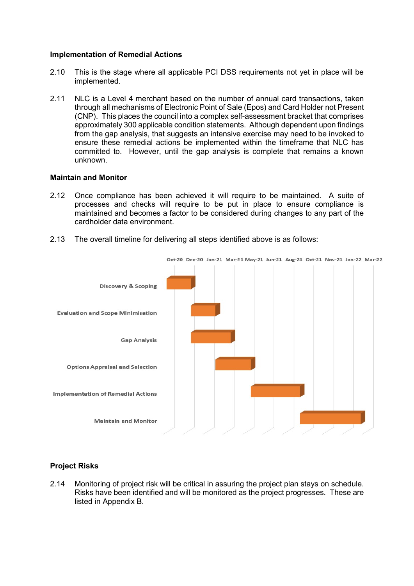#### Implementation of Remedial Actions

- 2.10 This is the stage where all applicable PCI DSS requirements not yet in place will be implemented.
- 2.11 NLC is a Level 4 merchant based on the number of annual card transactions, taken through all mechanisms of Electronic Point of Sale (Epos) and Card Holder not Present (CNP). This places the council into a complex self-assessment bracket that comprises approximately 300 applicable condition statements. Although dependent upon findings from the gap analysis, that suggests an intensive exercise may need to be invoked to ensure these remedial actions be implemented within the timeframe that NLC has committed to. However, until the gap analysis is complete that remains a known unknown.

#### Maintain and Monitor

- 2.12 Once compliance has been achieved it will require to be maintained. A suite of processes and checks will require to be put in place to ensure compliance is maintained and becomes a factor to be considered during changes to any part of the cardholder data environment.
- 2.13 The overall timeline for delivering all steps identified above is as follows:



#### Project Risks

2.14 Monitoring of project risk will be critical in assuring the project plan stays on schedule. Risks have been identified and will be monitored as the project progresses. These are listed in Appendix B.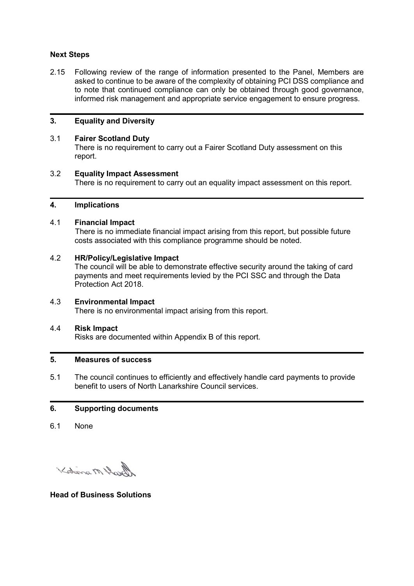#### Next Steps

2.15 Following review of the range of information presented to the Panel, Members are asked to continue to be aware of the complexity of obtaining PCI DSS compliance and to note that continued compliance can only be obtained through good governance, informed risk management and appropriate service engagement to ensure progress.

#### 3. Equality and Diversity

#### 3.1 Fairer Scotland Duty

 There is no requirement to carry out a Fairer Scotland Duty assessment on this report.

#### 3.2 Equality Impact Assessment

There is no requirement to carry out an equality impact assessment on this report.

#### 4. Implications

#### 4.1 Financial Impact

 There is no immediate financial impact arising from this report, but possible future costs associated with this compliance programme should be noted.

#### 4.2 HR/Policy/Legislative Impact

 The council will be able to demonstrate effective security around the taking of card payments and meet requirements levied by the PCI SSC and through the Data Protection Act 2018.

#### 4.3 Environmental Impact

There is no environmental impact arising from this report.

#### 4.4 Risk Impact

Risks are documented within Appendix B of this report.

#### 5. Measures of success

5.1 The council continues to efficiently and effectively handle card payments to provide benefit to users of North Lanarkshire Council services.

#### 6. Supporting documents

6.1 None

Kotana M Dough

Head of Business Solutions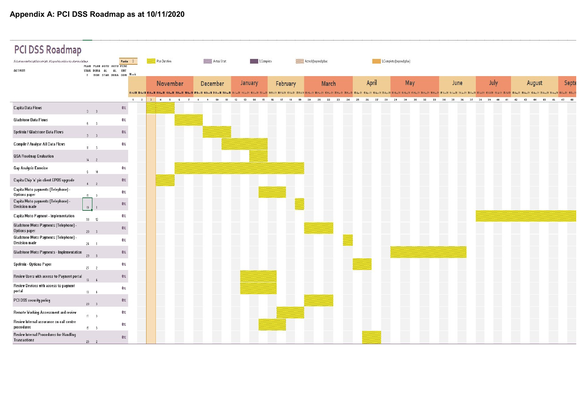